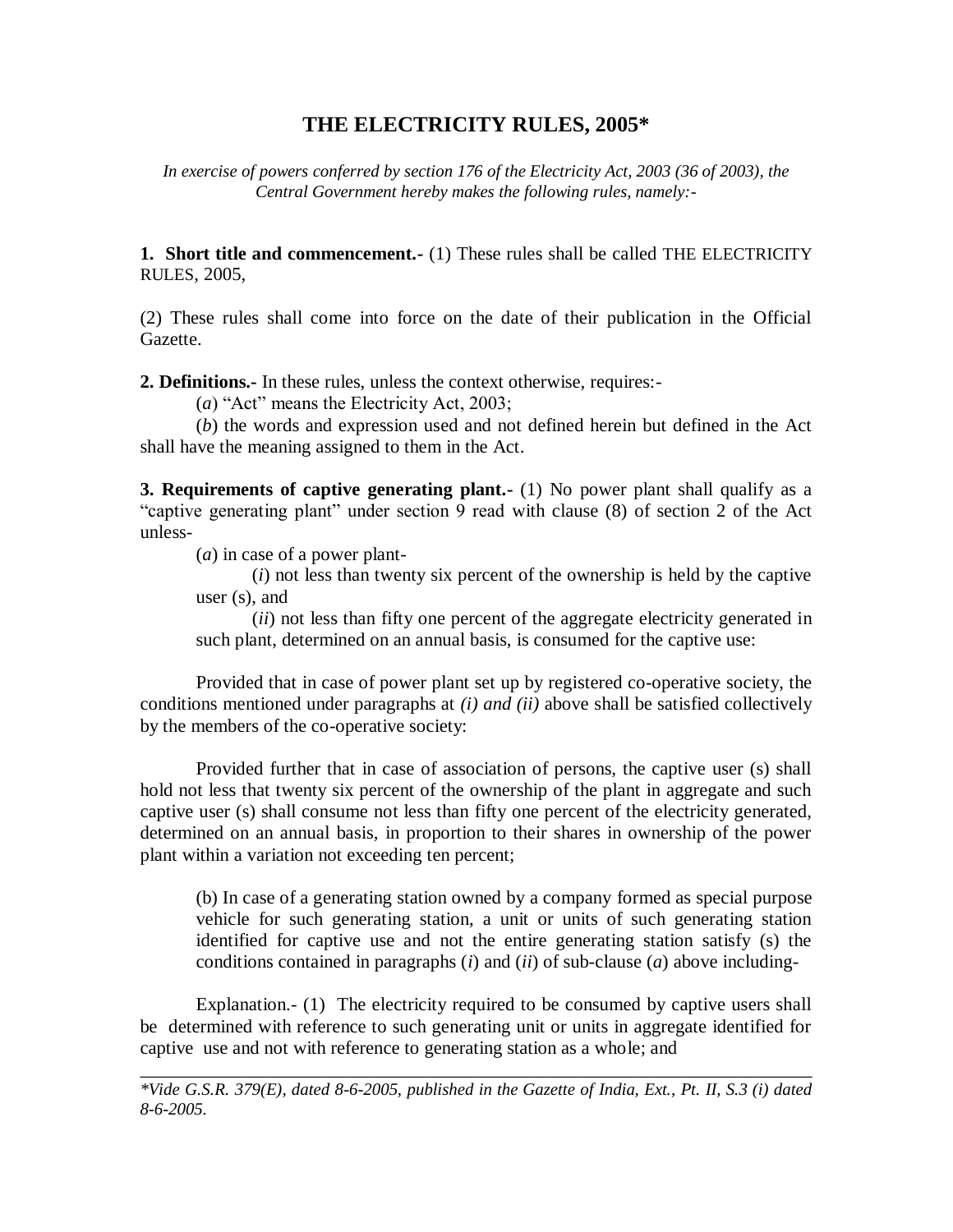## **THE ELECTRICITY RULES, 2005\***

*In exercise of powers conferred by section 176 of the Electricity Act, 2003 (36 of 2003), the Central Government hereby makes the following rules, namely:-*

**1. Short title and commencement.-** (1) These rules shall be called THE ELECTRICITY RULES, 2005,

(2) These rules shall come into force on the date of their publication in the Official Gazette.

**2. Definitions.-** In these rules, unless the context otherwise, requires:-

(*a*) "Act" means the Electricity Act, 2003;

(*b*) the words and expression used and not defined herein but defined in the Act shall have the meaning assigned to them in the Act.

**3. Requirements of captive generating plant.**- (1) No power plant shall qualify as a "captive generating plant" under section 9 read with clause (8) of section 2 of the Act unless-

(*a*) in case of a power plant-

(*i*) not less than twenty six percent of the ownership is held by the captive user (s), and

(*ii*) not less than fifty one percent of the aggregate electricity generated in such plant, determined on an annual basis, is consumed for the captive use:

Provided that in case of power plant set up by registered co-operative society, the conditions mentioned under paragraphs at *(i) and (ii)* above shall be satisfied collectively by the members of the co-operative society:

Provided further that in case of association of persons, the captive user (s) shall hold not less that twenty six percent of the ownership of the plant in aggregate and such captive user (s) shall consume not less than fifty one percent of the electricity generated, determined on an annual basis, in proportion to their shares in ownership of the power plant within a variation not exceeding ten percent;

(b) In case of a generating station owned by a company formed as special purpose vehicle for such generating station, a unit or units of such generating station identified for captive use and not the entire generating station satisfy (s) the conditions contained in paragraphs (*i*) and (*ii*) of sub-clause (*a*) above including-

Explanation.- (1) The electricity required to be consumed by captive users shall be determined with reference to such generating unit or units in aggregate identified for captive use and not with reference to generating station as a whole; and

\_\_\_\_\_\_\_\_\_\_\_\_\_\_\_\_\_\_\_\_\_\_\_\_\_\_\_\_\_\_\_\_\_\_\_\_\_\_\_\_\_\_\_\_\_\_\_\_\_\_\_\_\_\_\_\_\_\_\_\_\_\_\_\_\_\_\_\_\_\_\_\_

*<sup>\*</sup>Vide G.S.R. 379(E), dated 8-6-2005, published in the Gazette of India, Ext., Pt. II, S.3 (i) dated 8-6-2005.*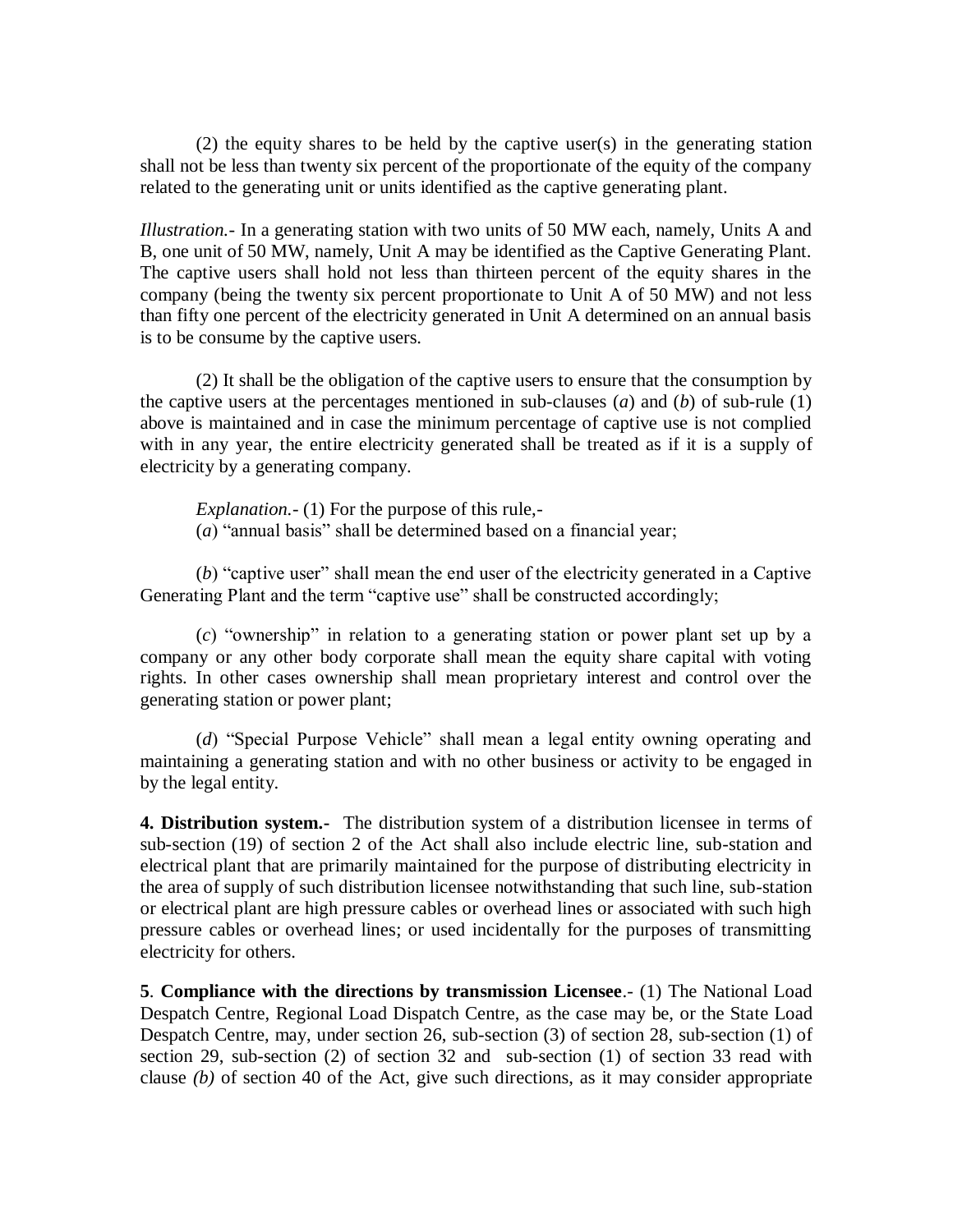(2) the equity shares to be held by the captive user(s) in the generating station shall not be less than twenty six percent of the proportionate of the equity of the company related to the generating unit or units identified as the captive generating plant.

*Illustration.-* In a generating station with two units of 50 MW each, namely, Units A and B, one unit of 50 MW, namely, Unit A may be identified as the Captive Generating Plant. The captive users shall hold not less than thirteen percent of the equity shares in the company (being the twenty six percent proportionate to Unit A of 50 MW) and not less than fifty one percent of the electricity generated in Unit A determined on an annual basis is to be consume by the captive users.

(2) It shall be the obligation of the captive users to ensure that the consumption by the captive users at the percentages mentioned in sub-clauses (*a*) and (*b*) of sub-rule (1) above is maintained and in case the minimum percentage of captive use is not complied with in any year, the entire electricity generated shall be treated as if it is a supply of electricity by a generating company.

*Explanation.-* (1) For the purpose of this rule,- (*a*) "annual basis" shall be determined based on a financial year;

(*b*) "captive user" shall mean the end user of the electricity generated in a Captive Generating Plant and the term "captive use" shall be constructed accordingly;

(*c*) "ownership" in relation to a generating station or power plant set up by a company or any other body corporate shall mean the equity share capital with voting rights. In other cases ownership shall mean proprietary interest and control over the generating station or power plant;

(*d*) "Special Purpose Vehicle" shall mean a legal entity owning operating and maintaining a generating station and with no other business or activity to be engaged in by the legal entity.

**4. Distribution system.-** The distribution system of a distribution licensee in terms of sub-section (19) of section 2 of the Act shall also include electric line, sub-station and electrical plant that are primarily maintained for the purpose of distributing electricity in the area of supply of such distribution licensee notwithstanding that such line, sub-station or electrical plant are high pressure cables or overhead lines or associated with such high pressure cables or overhead lines; or used incidentally for the purposes of transmitting electricity for others.

**5**. **Compliance with the directions by transmission Licensee**.- (1) The National Load Despatch Centre, Regional Load Dispatch Centre, as the case may be, or the State Load Despatch Centre, may, under section 26, sub-section (3) of section 28, sub-section (1) of section 29, sub-section (2) of section 32 and sub-section (1) of section 33 read with clause *(b)* of section 40 of the Act, give such directions, as it may consider appropriate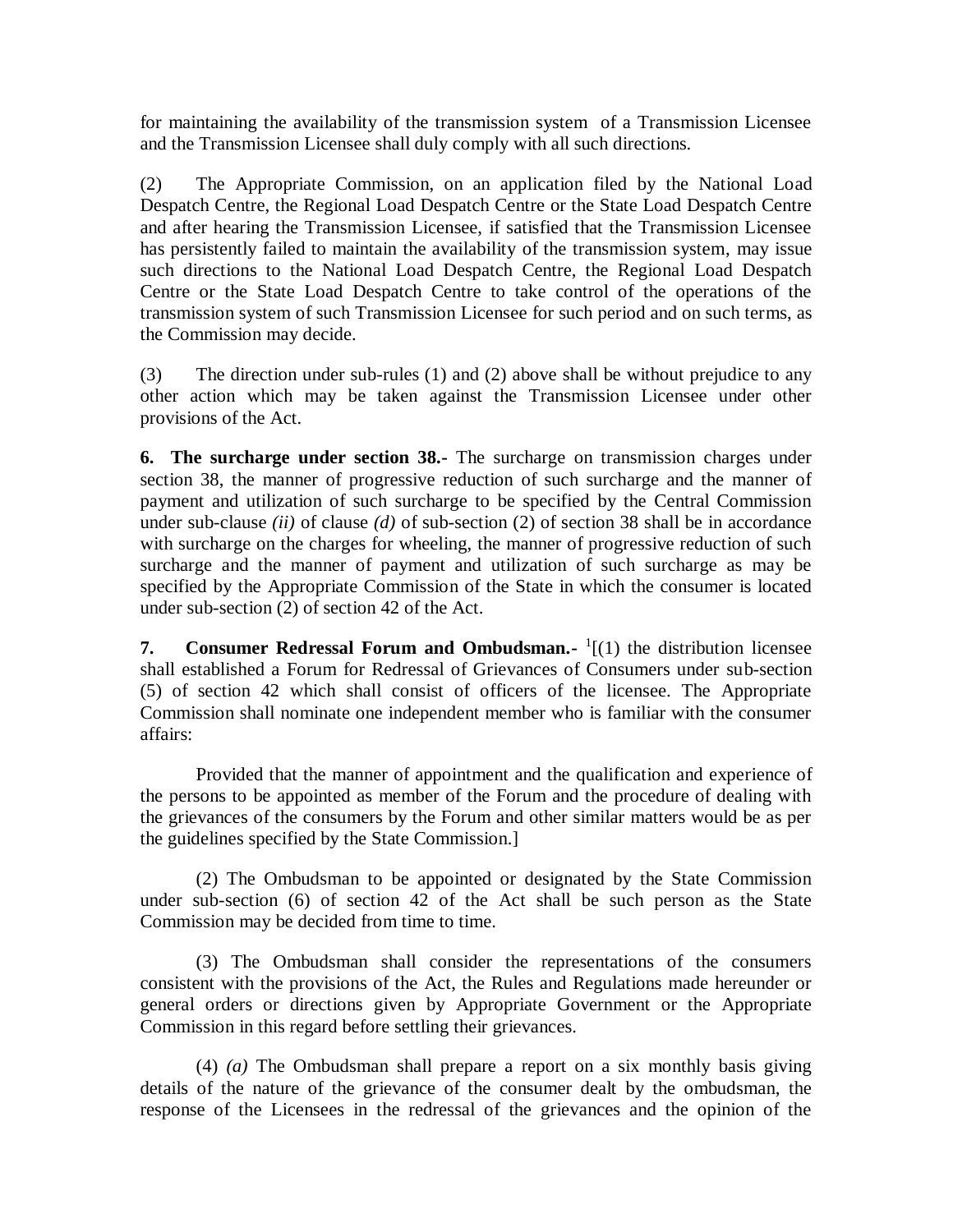for maintaining the availability of the transmission system of a Transmission Licensee and the Transmission Licensee shall duly comply with all such directions.

(2) The Appropriate Commission, on an application filed by the National Load Despatch Centre, the Regional Load Despatch Centre or the State Load Despatch Centre and after hearing the Transmission Licensee, if satisfied that the Transmission Licensee has persistently failed to maintain the availability of the transmission system, may issue such directions to the National Load Despatch Centre, the Regional Load Despatch Centre or the State Load Despatch Centre to take control of the operations of the transmission system of such Transmission Licensee for such period and on such terms, as the Commission may decide.

(3) The direction under sub-rules (1) and (2) above shall be without prejudice to any other action which may be taken against the Transmission Licensee under other provisions of the Act.

**6. The surcharge under section 38.-** The surcharge on transmission charges under section 38, the manner of progressive reduction of such surcharge and the manner of payment and utilization of such surcharge to be specified by the Central Commission under sub-clause *(ii)* of clause *(d)* of sub-section (2) of section 38 shall be in accordance with surcharge on the charges for wheeling, the manner of progressive reduction of such surcharge and the manner of payment and utilization of such surcharge as may be specified by the Appropriate Commission of the State in which the consumer is located under sub-section (2) of section 42 of the Act.

**7.** Consumer Redressal Forum and Ombudsman. <sup>1</sup>[(1) the distribution licensee shall established a Forum for Redressal of Grievances of Consumers under sub-section (5) of section 42 which shall consist of officers of the licensee. The Appropriate Commission shall nominate one independent member who is familiar with the consumer affairs:

Provided that the manner of appointment and the qualification and experience of the persons to be appointed as member of the Forum and the procedure of dealing with the grievances of the consumers by the Forum and other similar matters would be as per the guidelines specified by the State Commission.]

(2) The Ombudsman to be appointed or designated by the State Commission under sub-section (6) of section 42 of the Act shall be such person as the State Commission may be decided from time to time.

(3) The Ombudsman shall consider the representations of the consumers consistent with the provisions of the Act, the Rules and Regulations made hereunder or general orders or directions given by Appropriate Government or the Appropriate Commission in this regard before settling their grievances.

(4) *(a)* The Ombudsman shall prepare a report on a six monthly basis giving details of the nature of the grievance of the consumer dealt by the ombudsman, the response of the Licensees in the redressal of the grievances and the opinion of the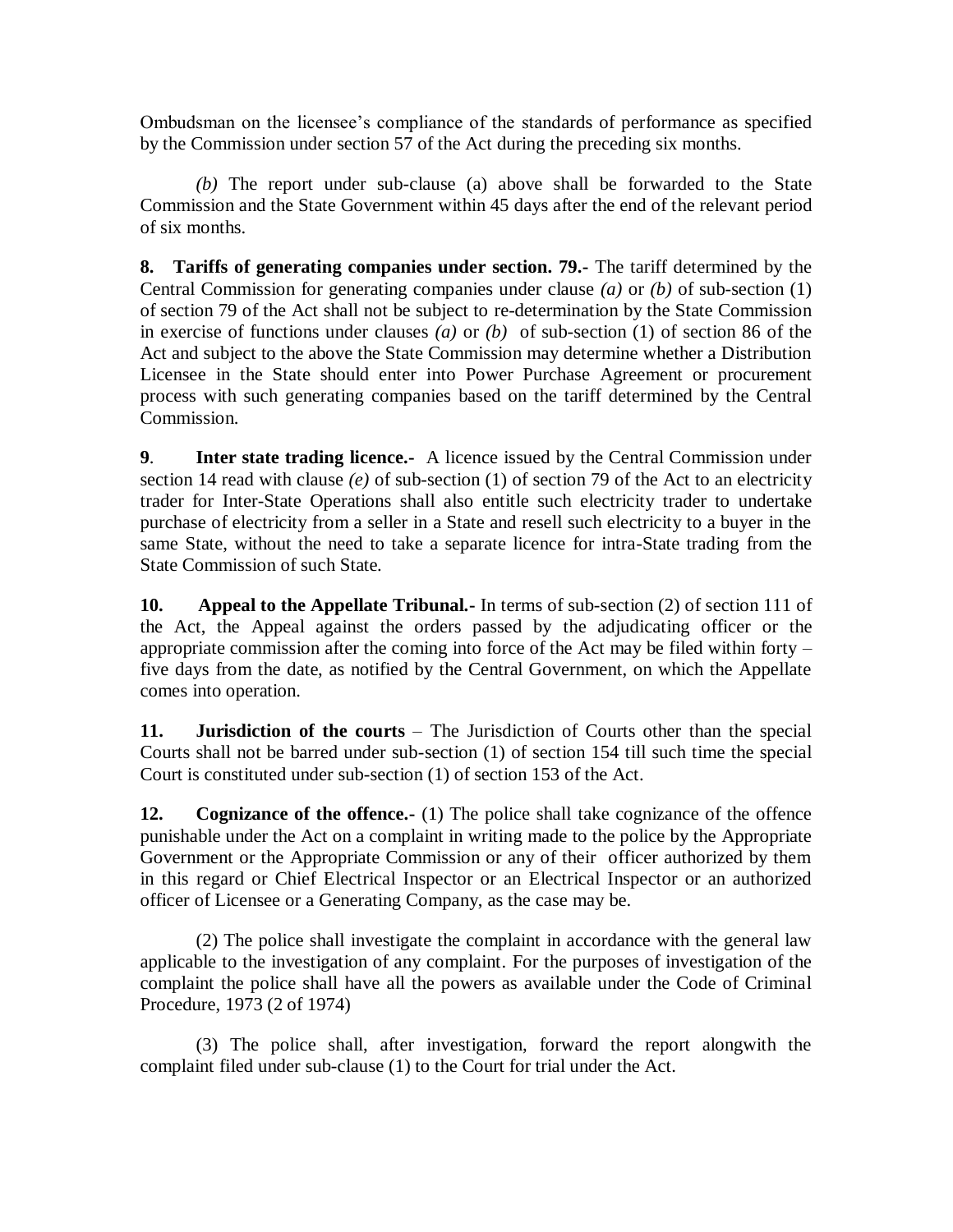Ombudsman on the licensee's compliance of the standards of performance as specified by the Commission under section 57 of the Act during the preceding six months.

*(b)* The report under sub-clause (a) above shall be forwarded to the State Commission and the State Government within 45 days after the end of the relevant period of six months.

**8. Tariffs of generating companies under section. 79.-** The tariff determined by the Central Commission for generating companies under clause *(a)* or *(b)* of sub-section (1) of section 79 of the Act shall not be subject to re-determination by the State Commission in exercise of functions under clauses *(a)* or *(b)* of sub-section (1) of section 86 of the Act and subject to the above the State Commission may determine whether a Distribution Licensee in the State should enter into Power Purchase Agreement or procurement process with such generating companies based on the tariff determined by the Central Commission.

**9**. **Inter state trading licence.-** A licence issued by the Central Commission under section 14 read with clause *(e)* of sub-section (1) of section 79 of the Act to an electricity trader for Inter-State Operations shall also entitle such electricity trader to undertake purchase of electricity from a seller in a State and resell such electricity to a buyer in the same State, without the need to take a separate licence for intra-State trading from the State Commission of such State.

**10. Appeal to the Appellate Tribunal.-** In terms of sub-section (2) of section 111 of the Act, the Appeal against the orders passed by the adjudicating officer or the appropriate commission after the coming into force of the Act may be filed within forty – five days from the date, as notified by the Central Government, on which the Appellate comes into operation.

**11. Jurisdiction of the courts** – The Jurisdiction of Courts other than the special Courts shall not be barred under sub-section (1) of section 154 till such time the special Court is constituted under sub-section (1) of section 153 of the Act.

**12. Cognizance of the offence.** (1) The police shall take cognizance of the offence punishable under the Act on a complaint in writing made to the police by the Appropriate Government or the Appropriate Commission or any of their officer authorized by them in this regard or Chief Electrical Inspector or an Electrical Inspector or an authorized officer of Licensee or a Generating Company, as the case may be.

(2) The police shall investigate the complaint in accordance with the general law applicable to the investigation of any complaint. For the purposes of investigation of the complaint the police shall have all the powers as available under the Code of Criminal Procedure, 1973 (2 of 1974)

(3) The police shall, after investigation, forward the report alongwith the complaint filed under sub-clause (1) to the Court for trial under the Act.